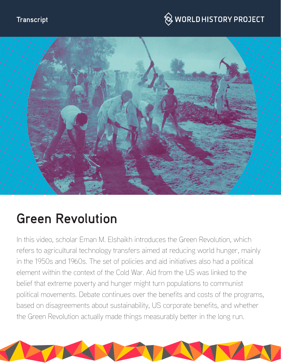#### **Transcript**

## $\hspace{0.1cm}\otimes\hspace{0.1cm}$  WORLD HISTORY PROJECT



# **Green Revolution**

In this video, scholar Eman M. Elshaikh introduces the Green Revolution, which refers to agricultural technology transfers aimed at reducing world hunger, mainly in the 1950s and 1960s. The set of policies and aid initiatives also had a political element within the context of the Cold War. Aid from the US was linked to the belief that extreme poverty and hunger might turn populations to communist political movements. Debate continues over the benefits and costs of the programs, based on disagreements about sustainability, US corporate benefits, and whether the Green Revolution actually made things measurably better in the long run.

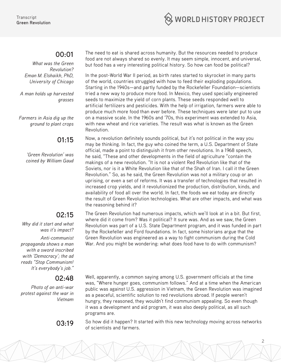

#### **00:01**

*What was the Green Revolution? Eman M. Elshaikh, PhD, University of Chicago*

*A man holds up harvested grasses*

*Farmers in Asia dig up the ground to plant crops*

#### **01:15**

*'Green Revolution' was coined by William Gaud* 

#### **02:15**

*Why did it start and what was it's impact?*

*Anti-communist propaganda shows a man with a sword inscribed with 'Democracy'; the ad reads "Stop Communism! It's everybody's job."* 

#### **02:48**

*Photo of an anti-war protest against the war in Vietnam*

The need to eat is shared across humanity. But the resources needed to produce food are not always shared so evenly. It may seem simple, innocent, and universal, but food has a very interesting political history. So how can food be political?

In the post-World War II period, as birth rates started to skyrocket in many parts of the world, countries struggled with how to feed their exploding populations. Starting in the 1940s—and partly funded by the Rockefeller Foundation—scientists tried a new way to produce more food. In Mexico, they used specially engineered seeds to maximize the yield of corn plants. These seeds responded well to artificial fertilizers and pesticides. With the help of irrigation, farmers were able to produce much more food than ever before. These techniques were later put to use on a massive scale. In the 1960s and '70s, this experiment was extended to Asia, with new wheat and rice varieties. The result was what is known as the Green Revolution.

Now, a revolution definitely sounds political, but it's not political in the way you may be thinking. In fact, the guy who coined the term, a U.S. Department of State official, made a point to distinguish it from other revolutions. In a 1968 speech, he said, "These and other developments in the field of agriculture "contain the makings of a new revolution. "It is not a violent Red Revolution like that of the Soviets, nor is it a White Revolution like that of the Shah of Iran. I call it the Green Revolution." So, as he said, the Green Revolution was not a military coup or an uprising, or even a set of reforms. It was a transfer of technologies that resulted in increased crop yields, and it revolutionized the production, distribution, kinds, and availability of food all over the world. In fact, the foods we eat today are directly the result of Green Revolution technologies. What are other impacts, and what was the reasoning behind it?

The Green Revolution had numerous impacts, which we'll look at in a bit. But first, where did it come from? Was it political? It sure was. And as we saw, the Green Revolution was part of a U.S. State Department program, and it was funded in part by the Rockefeller and Ford foundations. In fact, some historians argue that the Green Revolution was engineered as a way to fight communism during the Cold War. And you might be wondering: what does food have to do with communism?

Well, apparently, a common saying among U.S. government officials at the time was, "Where hunger goes, communism follows." And at a time when the American public was against U.S. aggression in Vietnam, the Green Revolution was imagined as a peaceful, scientific solution to red revolutions abroad. If people weren't hungry, they reasoned, they wouldn't find communism appealing. So even though it was a development and aid program, it was also deeply political, as all such programs are.

**03:19** So how did it happen? It started with this new technology moving across networks of scientists and farmers.

2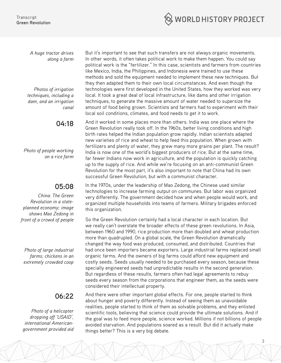

*A huge tractor drives along a farm*

*Photos of irrigation techniques, including a dam, and an irrigation canal*

**04:18**

*Photo of people working on a rice farm*

#### **05:08**

*China: The Green Revolution in a stateplanned economy; image shows Mao Zedong in front of a crowd of people*

*Photo of large industrial farms; chickens in an extremely crowded coop*

### **06:22**

*Photo of a helicopter dropping off 'USAID', international Americangovernment provided aid*

But it's important to see that such transfers are not always organic movements. In other words, it often takes political work to make them happen. You could say political work is the "fertilizer." In this case, scientists and farmers from countries like Mexico, India, the Philippines, and Indonesia were trained to use these methods and sold the equipment needed to implement these new techniques. But they then adapted them to their own local circumstances. And even though the technologies were first developed in the United States, how they worked was very local. It took a great deal of local infrastructure, like dams and other irrigation techniques, to generate the massive amount of water needed to supersize the amount of food being grown. Scientists and farmers had to experiment with their local soil conditions, climates, and food needs to get it to work.

And it worked in some places more than others. India was one place where the Green Revolution really took off. In the 1960s, better living conditions and high birth rates helped the Indian population grow rapidly. Indian scientists adapted new varieties of rice and wheat to help feed this population. When grown with fertilizers and plenty of water, they grew many more grains per plant. The result? India is now one of the world's biggest producers of rice. But at the same time, far fewer Indians now work in agriculture, and the population is quickly catching up to the supply of rice. And while we're focusing on an anti-communist Green Revolution for the most part, it's also important to note that China had its own successful Green Revolution, but with a communist character.

In the 1970s, under the leadership of Mao Zedong, the Chinese used similar technologies to increase farming output on communes. But labor was organized very differently. The government decided how and when people would work, and organized multiple households into teams of farmers. Military brigades enforced this organization.

So the Green Revolution certainly had a local character in each location. But we really can't overstate the broader effects of these green revolutions. In Asia, between 1960 and 1990, rice production more than doubled and wheat production more than quadrupled. On a global scale, the Green Revolution dramatically changed the way food was produced, consumed, and distributed. Countries that had once been importers became exporters. Large industrial farms replaced small organic farms. And the owners of big farms could afford new equipment and costly seeds. Seeds usually needed to be purchased every season, because these specially engineered seeds had unpredictable results in the second generation. But regardless of these results, farmers often had legal agreements to rebuy seeds every season from the corporations that engineer them, as the seeds were considered their intellectual property.

And there were other important global effects. For one, people started to think about hunger and poverty differently. Instead of seeing them as unavoidable realities, people started to think of them as solvable problems, and they enlisted scientific tools, believing that science could provide the ultimate solutions. And if the goal was to feed more people, science worked. Millions if not billions of people avoided starvation. And populations soared as a result. But did it actually make things better? This is a very big debate.

3